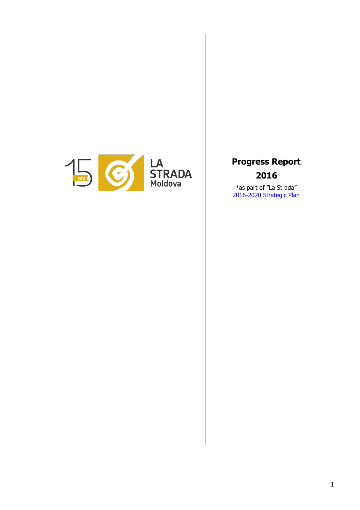

**Progress Report 2016**

\*as part of "La Strada" [2016-2020 Strategic Plan](https://goo.gl/Bzxf8I)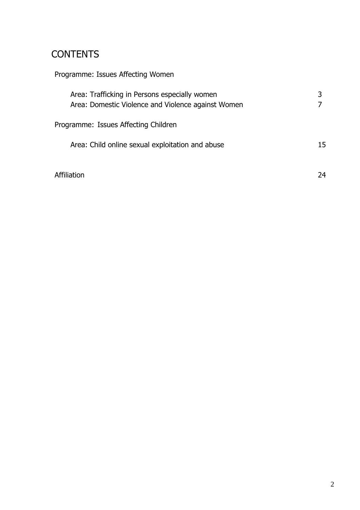# **CONTENTS**

| Programme: Issues Affecting Women                                                                   |    |
|-----------------------------------------------------------------------------------------------------|----|
| Area: Trafficking in Persons especially women<br>Area: Domestic Violence and Violence against Women |    |
| Programme: Issues Affecting Children                                                                |    |
| Area: Child online sexual exploitation and abuse                                                    | 15 |
| Affiliation                                                                                         | 24 |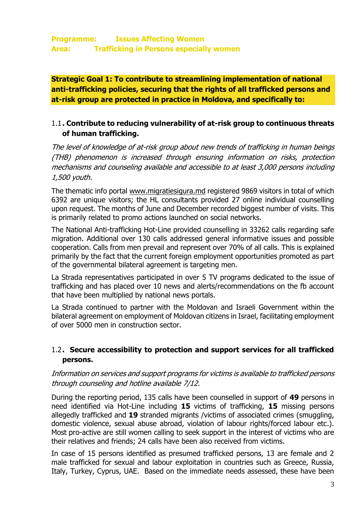**Strategic Goal 1: To contribute to streamlining implementation of national anti-trafficking policies, securing that the rights of all trafficked persons and at-risk group are protected in practice in Moldova, and specifically to:**

# 1.1**. Contribute to reducing vulnerability of at-risk group to continuous threats of human trafficking.**

The level of knowledge of at-risk group about new trends of trafficking in human beings (THB) phenomenon is increased through ensuring information on risks, protection mechanisms and counseling available and accessible to at least 3,000 persons including 1,500 youth.

The thematic info portal [www.migratiesigura.md](http://www.migratiesigura.md/) registered 9869 visitors in total of which 6392 are unique visitors; the HL consultants provided 27 online individual counselling upon request. The months of June and December recorded biggest number of visits. This is primarily related to promo actions launched on social networks.

The National Anti-trafficking Hot-Line provided counselling in 33262 calls regarding safe migration. Additional over 130 calls addressed general informative issues and possible cooperation. Calls from men prevail and represent over 70% of all calls. This is explained primarily by the fact that the current foreign employment opportunities promoted as part of the governmental bilateral agreement is targeting men.

La Strada representatives participated in over 5 TV programs dedicated to the issue of trafficking and has placed over 10 news and alerts/recommendations on the fb account that have been multiplied by national news portals.

La Strada continued to partner with the Moldovan and Israeli Government within the bilateral agreement on employment of Moldovan citizens in Israel, facilitating employment of over 5000 men in construction sector.

# 1.2**. Secure accessibility to protection and support services for all trafficked persons.**

## Information on services and support programs for victims is available to trafficked persons through counseling and hotline available 7/12.

During the reporting period, 135 calls have been counselled in support of **49** persons in need identified via Hot-Line including **15** victims of trafficking, **15** missing persons allegedly trafficked and **19** stranded migrants /victims of associated crimes (smuggling, domestic violence, sexual abuse abroad, violation of labour rights/forced labour etc.). Most pro-active are still women calling to seek support in the interest of victims who are their relatives and friends; 24 calls have been also received from victims.

In case of 15 persons identified as presumed trafficked persons, 13 are female and 2 male trafficked for sexual and labour exploitation in countries such as Greece, Russia, Italy, Turkey, Cyprus, UAE. Based on the immediate needs assessed, these have been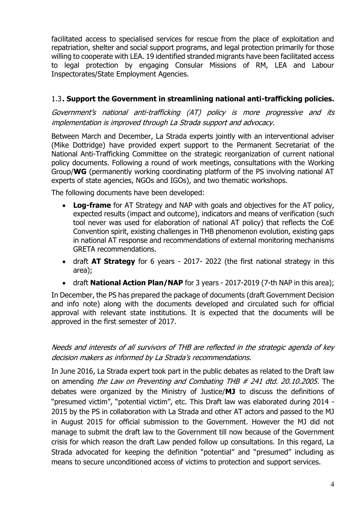facilitated access to specialised services for rescue from the place of exploitation and repatriation, shelter and social support programs, and legal protection primarily for those willing to cooperate with LEA. 19 identified stranded migrants have been facilitated access to legal protection by engaging Consular Missions of RM, LEA and Labour Inspectorates/State Employment Agencies.

## 1.3**. Support the Government in streamlining national anti-trafficking policies.**

Government's national anti-trafficking (AT) policy is more progressive and its implementation is improved through La Strada support and advocacy.

Between March and December, La Strada experts jointly with an interventional adviser (Mike Dottridge) have provided expert support to the Permanent Secretariat of the National Anti-Trafficking Committee on the strategic reorganization of current national policy documents. Following a round of work meetings, consultations with the Working Group/**WG** (permanently working coordinating platform of the PS involving national AT experts of state agencies, NGOs and IGOs), and two thematic workshops.

The following documents have been developed:

- **Log-frame** for AT Strategy and NAP with goals and objectives for the AT policy, expected results (impact and outcome), indicators and means of verification (such tool never was used for elaboration of national AT policy) that reflects the CoE Convention spirit, existing challenges in THB phenomenon evolution, existing gaps in national AT response and recommendations of external monitoring mechanisms GRETA recommendations.
- draft **AT Strategy** for 6 years 2017- 2022 (the first national strategy in this area);
- draft **National Action Plan/NAP** for 3 years 2017-2019 (7-th NAP in this area);

In December, the PS has prepared the package of documents (draft Government Decision and info note) along with the documents developed and circulated such for official approval with relevant state institutions. It is expected that the documents will be approved in the first semester of 2017.

## Needs and interests of all survivors of THB are reflected in the strategic agenda of key decision makers as informed by La Strada's recommendations.

In June 2016, La Strada expert took part in the public debates as related to the Draft law on amending the Law on Preventing and Combating THB # 241 dtd. 20.10.2005. The debates were organized by the Ministry of Justice/**MJ** to discuss the definitions of "presumed victim", "potential victim", etc. This Draft law was elaborated during 2014 - 2015 by the PS in collaboration with La Strada and other AT actors and passed to the MJ in August 2015 for official submission to the Government. However the MJ did not manage to submit the draft law to the Government till now because of the Government crisis for which reason the draft Law pended follow up consultations. In this regard, La Strada advocated for keeping the definition "potential" and "presumed" including as means to secure unconditioned access of victims to protection and support services.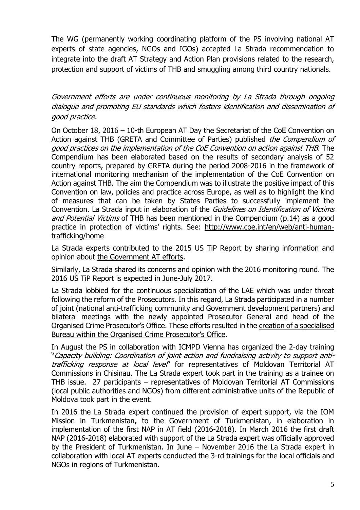The WG (permanently working coordinating platform of the PS involving national AT experts of state agencies, NGOs and IGOs) accepted La Strada recommendation to integrate into the draft AT Strategy and Action Plan provisions related to the research, protection and support of victims of THB and smuggling among third country nationals.

Government efforts are under continuous monitoring by La Strada through ongoing dialogue and promoting EU standards which fosters identification and dissemination of good practice.

On October 18, 2016 – 10-th European AT Day the Secretariat of the CoE Convention on Action against THB (GRETA and Committee of Parties) published the Compendium of good practices on the implementation of the CoE Convention on action against THB. The Compendium has been elaborated based on the results of secondary analysis of 52 country reports, prepared by GRETA during the period 2008-2016 in the framework of international monitoring mechanism of the implementation of the CoE Convention on Action against THB. The aim the Compendium was to illustrate the positive impact of this Convention on law, policies and practice across Europe, as well as to highlight the kind of measures that can be taken by States Parties to successfully implement the Convention. La Strada input in elaboration of the Guidelines on Identification of Victims and Potential Victims of THB has been mentioned in the Compendium (p.14) as a good practice in protection of victims' rights. See: [http://www.coe.int/en/web/anti-human](http://www.coe.int/en/web/anti-human-trafficking/home)[trafficking/home](http://www.coe.int/en/web/anti-human-trafficking/home)

La Strada experts contributed to the 2015 US TiP Report by sharing information and opinion about [the Government AT efforts.](https://www.state.gov/documents/organization/243560.pdf)

Similarly, La Strada shared its concerns and opinion with the 2016 monitoring round. The 2016 US TiP Report is expected in June-July 2017.

La Strada lobbied for the continuous specialization of the LAE which was under threat following the reform of the Prosecutors. In this regard, La Strada participated in a number of joint (national anti-trafficking community and Government development partners) and bilateral meetings with the newly appointed Prosecutor General and head of the Organised Crime Prosecutor's Office. These efforts resulted in the [creation of a specialised](http://lastrada.md/rom/articole/autoritatile-dau-asigurari-vor-crea-o-echipa-de-procurori-specializati-in-cazuri-d-87)  [Bureau within the Organised Crime Prosecutor's Office](http://lastrada.md/rom/articole/autoritatile-dau-asigurari-vor-crea-o-echipa-de-procurori-specializati-in-cazuri-d-87).

In August the PS in collaboration with ICMPD Vienna has organized the 2-day training "Capacity building: Coordination of joint action and fundraising activity to support antitrafficking response at local level" for representatives of Moldovan Territorial AT Commissions in Chisinau. The La Strada expert took part in the training as a trainee on THB issue. 27 participants – representatives of Moldovan Territorial AT Commissions (local public authorities and NGOs) from different administrative units of the Republic of Moldova took part in the event.

In 2016 the La Strada expert continued the provision of expert support, via the IOM Mission in Turkmenistan, to the Government of Turkmenistan, in elaboration in implementation of the first NAP in AT field (2016-2018). In March 2016 the first draft NAP (2016-2018) elaborated with support of the La Strada expert was officially approved by the President of Turkmenistan. In June – November 2016 the La Strada expert in collaboration with local AT experts conducted the 3-rd trainings for the local officials and NGOs in regions of Turkmenistan.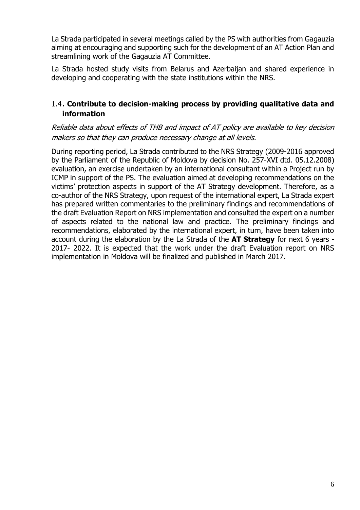La Strada participated in several meetings called by the PS with authorities from Gagauzia aiming at encouraging and supporting such for the development of an AT Action Plan and streamlining work of the Gagauzia AT Committee.

La Strada hosted study visits from Belarus and Azerbaijan and shared experience in developing and cooperating with the state institutions within the NRS.

# 1.4**. Contribute to decision-making process by providing qualitative data and information**

## Reliable data about effects of THB and impact of AT policy are available to key decision makers so that they can produce necessary change at all levels.

During reporting period, La Strada contributed to the NRS Strategy (2009-2016 approved by the Parliament of the Republic of Moldova by decision No. 257-XVI dtd. 05.12.2008) evaluation, an exercise undertaken by an international consultant within a Project run by ICMP in support of the PS. The evaluation aimed at developing recommendations on the victims' protection aspects in support of the AT Strategy development. Therefore, as a co-author of the NRS Strategy, upon request of the international expert, La Strada expert has prepared written commentaries to the preliminary findings and recommendations of the draft Evaluation Report on NRS implementation and consulted the expert on a number of aspects related to the national law and practice. The preliminary findings and recommendations, elaborated by the international expert, in turn, have been taken into account during the elaboration by the La Strada of the **AT Strategy** for next 6 years - 2017- 2022. It is expected that the work under the draft Evaluation report on NRS implementation in Moldova will be finalized and published in March 2017.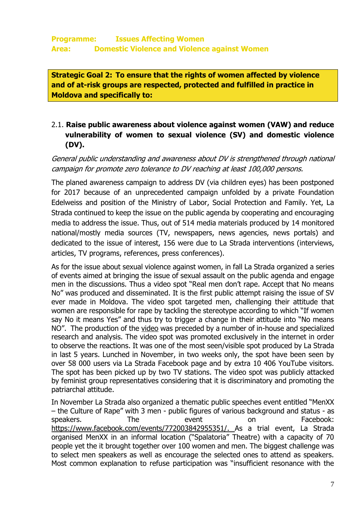**Strategic Goal 2: To ensure that the rights of women affected by violence and of at-risk groups are respected, protected and fulfilled in practice in Moldova and specifically to:** 

# 2.1. **Raise public awareness about violence against women (VAW) and reduce vulnerability of women to sexual violence (SV) and domestic violence (DV).**

General public understanding and awareness about DV is strengthened through national campaign for promote zero tolerance to DV reaching at least 100,000 persons.

The planed awareness campaign to address DV (via children eyes) has been postponed for 2017 because of an unprecedented campaign unfolded by a private Foundation Edelweiss and position of the Ministry of Labor, Social Protection and Family. Yet, La Strada continued to keep the issue on the public agenda by cooperating and encouraging media to address the issue. Thus, out of 514 media materials produced by 14 monitored national/mostly media sources (TV, newspapers, news agencies, news portals) and dedicated to the issue of interest, 156 were due to La Strada interventions (interviews, articles, TV programs, references, press conferences).

As for the issue about sexual violence against women, in fall La Strada organized a series of events aimed at bringing the issue of sexual assault on the public agenda and engage men in the discussions. Thus a video spot "Real men don't rape. Accept that No means No" was produced and disseminated. It is the first public attempt raising the issue of SV ever made in Moldova. The video spot targeted men, challenging their attitude that women are responsible for rape by tackling the stereotype according to which "If women say No it means Yes" and thus try to trigger a change in their attitude into "No means NO". The production of the [video](https://www.youtube.com/watch?v=fAoJsjd5U3A) was preceded by a number of in-house and specialized research and analysis. The video spot was promoted exclusively in the internet in order to observe the reactions. It was one of the most seen/visible spot produced by La Strada in last 5 years. Lunched in November, in two weeks only, the spot have been seen by over 58 000 users via La Strada Facebook page and by extra 10 406 YouTube visitors. The spot has been picked up by two TV stations. The video spot was publicly attacked by feminist group representatives considering that it is discriminatory and promoting the patriarchal attitude.

In November La Strada also organized a thematic public speeches event entitled "MenXX – the Culture of Rape" with 3 men - public figures of various background and status - as speakers. The event on Facebook: [https://www.facebook.com/events/772003842955351/.](https://www.facebook.com/events/772003842955351/) As a trial event, La Strada organised MenXX in an informal location ("Spalatoria" Theatre) with a capacity of 70 people yet the it brought together over 100 women and men. The biggest challenge was to select men speakers as well as encourage the selected ones to attend as speakers. Most common explanation to refuse participation was "insufficient resonance with the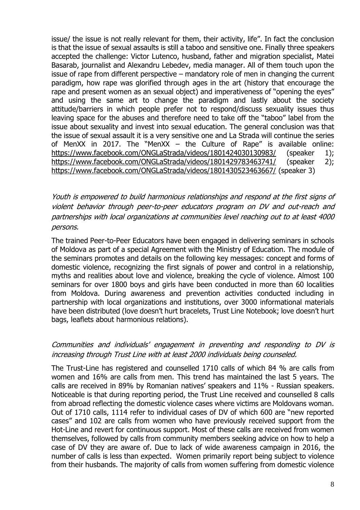issue/ the issue is not really relevant for them, their activity, life". In fact the conclusion is that the issue of sexual assaults is still a taboo and sensitive one. Finally three speakers accepted the challenge: Victor Lutenco, husband, father and migration specialist, Matei Basarab, journalist and Alexandru Lebedev, media manager. All of them touch upon the issue of rape from different perspective – mandatory role of men in changing the current paradigm, how rape was glorified through ages in the art (history that encourage the rape and present women as an sexual object) and imperativeness of "opening the eyes" and using the same art to change the paradigm and lastly about the society attitude/barriers in which people prefer not to respond/discuss sexuality issues thus leaving space for the abuses and therefore need to take off the "taboo" label from the issue about sexuality and invest into sexual education. The general conclusion was that the issue of sexual assault it is a very sensitive one and La Strada will continue the series of MenXX in 2017. The "MenXX – the Culture of Rape" is available online: <https://www.facebook.com/ONGLaStrada/videos/1801424030130983/> (speaker 1); <https://www.facebook.com/ONGLaStrada/videos/1801429783463741/> (speaker 2); <https://www.facebook.com/ONGLaStrada/videos/1801430523463667/> (speaker 3)

Youth is empowered to build harmonious relationships and respond at the first signs of violent behavior through peer-to-peer educators program on DV and out-reach and partnerships with local organizations at communities level reaching out to at least 4000 persons.

The trained Peer-to-Peer Educators have been engaged in delivering seminars in schools of Moldova as part of a special Agreement with the Ministry of Education. The module of the seminars promotes and details on the following key messages: concept and forms of domestic violence, recognizing the first signals of power and control in a relationship, myths and realities about love and violence, breaking the cycle of violence. Almost 100 seminars for over 1800 boys and girls have been conducted in more than 60 localities from Moldova. During awareness and prevention activities conducted including in partnership with local organizations and institutions, over 3000 informational materials have been distributed (love doesn't hurt bracelets, Trust Line Notebook; love doesn't hurt bags, leaflets about harmonious relations).

## Communities and individuals' engagement in preventing and responding to DV is increasing through Trust Line with at least 2000 individuals being counseled.

The Trust-Line has registered and counselled 1710 calls of which 84 % are calls from women and 16% are calls from men. This trend has maintained the last 5 years. The calls are received in 89% by Romanian natives' speakers and 11% - Russian speakers. Noticeable is that during reporting period, the Trust Line received and counselled 8 calls from abroad reflecting the domestic violence cases where victims are Moldovans woman. Out of 1710 calls, 1114 refer to individual cases of DV of which 600 are "new reported cases" and 102 are calls from women who have previously received support from the Hot-Line and revert for continuous support. Most of these calls are received from women themselves, followed by calls from community members seeking advice on how to help a case of DV they are aware of. Due to lack of wide awareness campaign in 2016, the number of calls is less than expected. Women primarily report being subject to violence from their husbands. The majority of calls from women suffering from domestic violence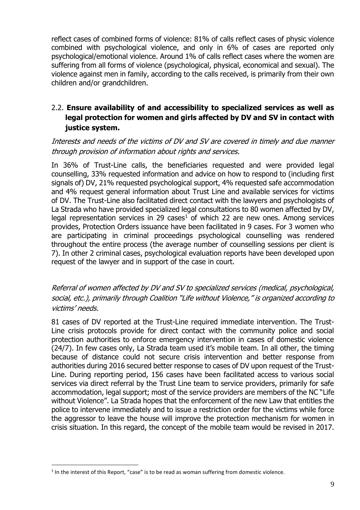reflect cases of combined forms of violence: 81% of calls reflect cases of physic violence combined with psychological violence, and only in 6% of cases are reported only psychological/emotional violence. Around 1% of calls reflect cases where the women are suffering from all forms of violence (psychological, physical, economical and sexual). The violence against men in family, according to the calls received, is primarily from their own children and/or grandchildren.

# 2.2. **Ensure availability of and accessibility to specialized services as well as legal protection for women and girls affected by DV and SV in contact with justice system.**

## Interests and needs of the victims of DV and SV are covered in timely and due manner through provision of information about rights and services.

In 36% of Trust-Line calls, the beneficiaries requested and were provided legal counselling, 33% requested information and advice on how to respond to (including first signals of) DV, 21% requested psychological support, 4% requested safe accommodation and 4% request general information about Trust Line and available services for victims of DV. The Trust-Line also facilitated direct contact with the lawyers and psychologists of La Strada who have provided specialized legal consultations to 80 women affected by DV, legal representation services in 29 cases<sup>1</sup> of which 22 are new ones. Among services provides, Protection Orders issuance have been facilitated in 9 cases. For 3 women who are participating in criminal proceedings psychological counselling was rendered throughout the entire process (the average number of counselling sessions per client is 7). In other 2 criminal cases, psychological evaluation reports have been developed upon request of the lawyer and in support of the case in court.

## Referral of women affected by DV and SV to specialized services (medical, psychological, social, etc.), primarily through Coalition "Life without Violence," is organized according to victims' needs.

81 cases of DV reported at the Trust-Line required immediate intervention. The Trust-Line crisis protocols provide for direct contact with the community police and social protection authorities to enforce emergency intervention in cases of domestic violence (24/7). In few cases only, La Strada team used it's mobile team. In all other, the timing because of distance could not secure crisis intervention and better response from authorities during 2016 secured better response to cases of DV upon request of the Trust-Line. During reporting period, 156 cases have been facilitated access to various social services via direct referral by the Trust Line team to service providers, primarily for safe accommodation, legal support; most of the service providers are members of the NC "Life without Violence". La Strada hopes that the enforcement of the new Law that entitles the police to intervene immediately and to issue a restriction order for the victims while force the aggressor to leave the house will improve the protection mechanism for women in crisis situation. In this regard, the concept of the mobile team would be revised in 2017.

1

 $<sup>1</sup>$  In the interest of this Report, "case" is to be read as woman suffering from domestic violence.</sup>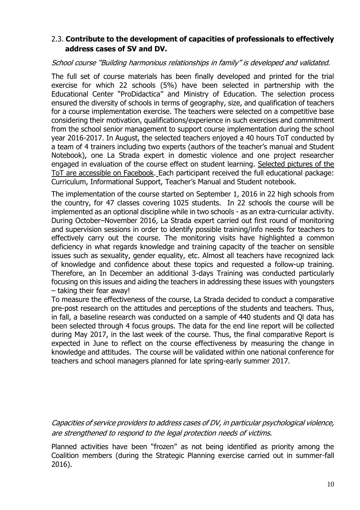## 2.3. **Contribute to the development of capacities of professionals to effectively address cases of SV and DV.**

#### School course "Building harmonious relationships in family" is developed and validated.

The full set of course materials has been finally developed and printed for the trial exercise for which 22 schools (5%) have been selected in partnership with the Educational Center "ProDidactica" and Ministry of Education. The selection process ensured the diversity of schools in terms of geography, size, and qualification of teachers for a course implementation exercise. The teachers were selected on a competitive base considering their motivation, qualifications/experience in such exercises and commitment from the school senior management to support course implementation during the school year 2016-2017. In August, the selected teachers enjoyed a 40 hours ToT conducted by a team of 4 trainers including two experts (authors of the teacher's manual and Student Notebook), one La Strada expert in domestic violence and one project researcher engaged in evaluation of the course effect on student learning. [Selected pictures of the](https://www.facebook.com/permalink.php?story_fbid=1137868976251232&id=254677614570377&__mref=message_bubble)  [ToT are accessible on Facebook.](https://www.facebook.com/permalink.php?story_fbid=1137868976251232&id=254677614570377&__mref=message_bubble) Each participant received the full educational package: Curriculum, Informational Support, Teacher's Manual and Student notebook.

The implementation of the course started on September 1, 2016 in 22 high schools from the country, for 47 classes covering 1025 students. In 22 schools the course will be implemented as an optional discipline while in two schools - as an extra-curricular activity. During October–November 2016, La Strada expert carried out first round of monitoring and supervision sessions in order to identify possible training/info needs for teachers to effectively carry out the course. The monitoring visits have highlighted a common deficiency in what regards knowledge and training capacity of the teacher on sensible issues such as sexuality, gender equality, etc. Almost all teachers have recognized lack of knowledge and confidence about these topics and requested a follow-up training. Therefore, an In December an additional 3-days Training was conducted particularly focusing on this issues and aiding the teachers in addressing these issues with youngsters – taking their fear away!

To measure the effectiveness of the course, La Strada decided to conduct a comparative pre-post research on the attitudes and perceptions of the students and teachers. Thus, in fall, a baseline research was conducted on a sample of 440 students and Ql data has been selected through 4 focus groups. The data for the end line report will be collected during May 2017, in the last week of the course. Thus, the final comparative Report is expected in June to reflect on the course effectiveness by measuring the change in knowledge and attitudes. The course will be validated within one national conference for teachers and school managers planned for late spring-early summer 2017.

Capacities of service providers to address cases of DV, in particular psychological violence, are strengthened to respond to the legal protection needs of victims.

Planned activities have been "frozen" as not being identified as priority among the Coalition members (during the Strategic Planning exercise carried out in summer-fall 2016).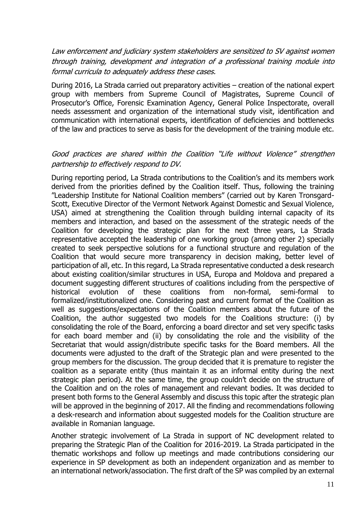Law enforcement and judiciary system stakeholders are sensitized to SV against women through training, development and integration of a professional training module into formal curricula to adequately address these cases.

During 2016, La Strada carried out preparatory activities – creation of the national expert group with members from Supreme Council of Magistrates, Supreme Council of Prosecutor's Office, Forensic Examination Agency, General Police Inspectorate, overall needs assessment and organization of the international study visit, identification and communication with international experts, identification of deficiencies and bottlenecks of the law and practices to serve as basis for the development of the training module etc.

## Good practices are shared within the Coalition "Life without Violence" strengthen partnership to effectively respond to DV.

During reporting period, La Strada contributions to the Coalition's and its members work derived from the priorities defined by the Coalition itself. Thus, following the training "Leadership Institute for National Coalition members" (carried out by Karen Tronsgard-Scott, Executive Director of the Vermont Network Against Domestic and Sexual Violence, USA) aimed at strengthening the Coalition through building internal capacity of its members and interaction, and based on the assessment of the strategic needs of the Coalition for developing the strategic plan for the next three years, La Strada representative accepted the leadership of one working group (among other 2) specially created to seek perspective solutions for a functional structure and regulation of the Coalition that would secure more transparency in decision making, better level of participation of all, etc. In this regard, La Strada representative conducted a desk research about existing coalition/similar structures in USA, Europa and Moldova and prepared a document suggesting different structures of coalitions including from the perspective of historical evolution of these coalitions from non-formal, semi-formal to formalized/institutionalized one. Considering past and current format of the Coalition as well as suggestions/expectations of the Coalition members about the future of the Coalition, the author suggested two models for the Coalitions structure: (i) by consolidating the role of the Board, enforcing a board director and set very specific tasks for each board member and (ii) by consolidating the role and the visibility of the Secretariat that would assign/distribute specific tasks for the Board members. All the documents were adjusted to the draft of the Strategic plan and were presented to the group members for the discussion. The group decided that it is premature to register the coalition as a separate entity (thus maintain it as an informal entity during the next strategic plan period). At the same time, the group couldn't decide on the structure of the Coalition and on the roles of management and relevant bodies. It was decided to present both forms to the General Assembly and discuss this topic after the strategic plan will be approved in the beginning of 2017. All the finding and recommendations following a desk-research and information about suggested models for the Coalition structure are available in Romanian language.

Another strategic involvement of La Strada in support of NC development related to preparing the Strategic Plan of the Coalition for 2016-2019. La Strada participated in the thematic workshops and follow up meetings and made contributions considering our experience in SP development as both an independent organization and as member to an international network/association. The first draft of the SP was compiled by an external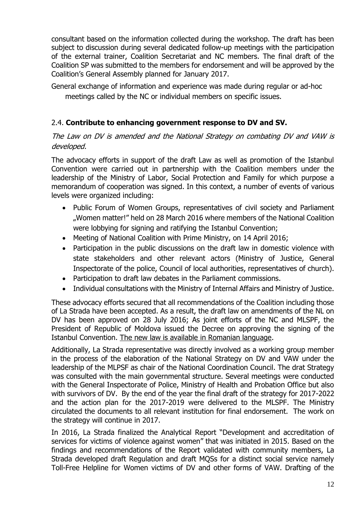consultant based on the information collected during the workshop. The draft has been subject to discussion during several dedicated follow-up meetings with the participation of the external trainer, Coalition Secretariat and NC members. The final draft of the Coalition SP was submitted to the members for endorsement and will be approved by the Coalition's General Assembly planned for January 2017.

General exchange of information and experience was made during regular or ad-hoc meetings called by the NC or individual members on specific issues.

# 2.4. **Contribute to enhancing government response to DV and SV.**

## The Law on DV is amended and the National Strategy on combating DV and VAW is developed.

The advocacy efforts in support of the draft Law as well as promotion of the Istanbul Convention were carried out in partnership with the Coalition members under the leadership of the Ministry of Labor, Social Protection and Family for which purpose a memorandum of cooperation was signed. In this context, a number of events of various levels were organized including:

- Public Forum of Women Groups, representatives of civil society and Parliament "Women matter!" held on 28 March 2016 where members of the National Coalition were lobbying for signing and ratifying the Istanbul Convention;
- Meeting of National Coalition with Prime Ministry, on 14 April 2016;
- Participation in the public discussions on the draft law in domestic violence with state stakeholders and other relevant actors (Ministry of Justice, General Inspectorate of the police, Council of local authorities, representatives of church).
- Participation to draft law debates in the Parliament commissions.
- Individual consultations with the Ministry of Internal Affairs and Ministry of Justice.

These advocacy efforts secured that all recommendations of the Coalition including those of La Strada have been accepted. As a result, the draft law on amendments of the NL on DV has been approved on 28 July 2016; As joint efforts of the NC and MLSPF, the President of Republic of Moldova issued the Decree on approving the signing of the Istanbul Convention. [The new law is available in Romanian language.](http://lex.justice.md/md/366648/)

Additionally, La Strada representative was directly involved as a working group member in the process of the elaboration of the National Strategy on DV and VAW under the leadership of the MLPSF as chair of the National Coordination Council. The drat Strategy was consulted with the main governmental structure. Several meetings were conducted with the General Inspectorate of Police, Ministry of Health and Probation Office but also with survivors of DV. By the end of the year the final draft of the strategy for 2017-2022 and the action plan for the 2017-2019 were delivered to the MLSPF. The Ministry circulated the documents to all relevant institution for final endorsement. The work on the strategy will continue in 2017.

In 2016, La Strada finalized the Analytical Report "Development and accreditation of services for victims of violence against women" that was initiated in 2015. Based on the findings and recommendations of the Report validated with community members, La Strada developed draft Regulation and draft MQSs for a distinct social service namely Toll-Free Helpline for Women victims of DV and other forms of VAW. Drafting of the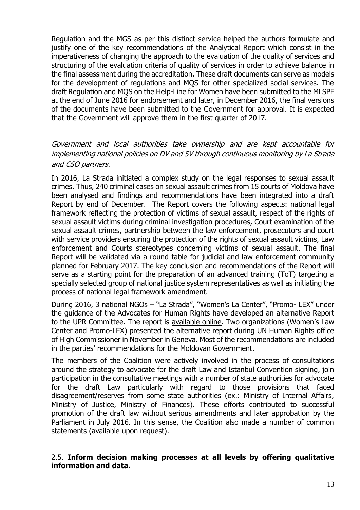Regulation and the MGS as per this distinct service helped the authors formulate and justify one of the key recommendations of the Analytical Report which consist in the imperativeness of changing the approach to the evaluation of the quality of services and structuring of the evaluation criteria of quality of services in order to achieve balance in the final assessment during the accreditation. These draft documents can serve as models for the development of regulations and MQS for other specialized social services. The draft Regulation and MQS on the Help-Line for Women have been submitted to the MLSPF at the end of June 2016 for endorsement and later, in December 2016, the final versions of the documents have been submitted to the Government for approval. It is expected that the Government will approve them in the first quarter of 2017.

## Government and local authorities take ownership and are kept accountable for implementing national policies on DV and SV through continuous monitoring by La Strada and CSO partners.

In 2016, La Strada initiated a complex study on the legal responses to sexual assault crimes. Thus, 240 criminal cases on sexual assault crimes from 15 courts of Moldova have been analysed and findings and recommendations have been integrated into a draft Report by end of December. The Report covers the following aspects: national legal framework reflecting the protection of victims of sexual assault, respect of the rights of sexual assault victims during criminal investigation procedures, Court examination of the sexual assault crimes, partnership between the law enforcement, prosecutors and court with service providers ensuring the protection of the rights of sexual assault victims, Law enforcement and Courts stereotypes concerning victims of sexual assault. The final Report will be validated via a round table for judicial and law enforcement community planned for February 2017. The key conclusion and recommendations of the Report will serve as a starting point for the preparation of an advanced training (ToT) targeting a specially selected group of national justice system representatives as well as initiating the process of national legal framework amendment.

During 2016, 3 national NGOs – "La Strada", "Women's La Center", "Promo- LEX" under the guidance of the Advocates for Human Rights have developed an alternative Report to the UPR Committee. The report is [available online](http://www.lastrada.md/publicatii/ebook/UPR_Moldova_final(en).pdf). Two organizations (Women's Law Center and Promo-LEX) presented the alternative report during UN Human Rights office of High Commissioner in November in Geneva. Most of the recommendations are included in the parties' [recommendations for the Moldovan Government.](https://www.upr-info.org/database/index.php?limit=0&f_SUR=113&f_SMR=All&order=&orderDir=ASC&orderP=true&f_Issue=All&searchReco=&resultMax=300&response=&action_type=&session=&SuRRgrp=&SuROrg=&SMRRgrp=&SMROrg=&pledges=RecoOnly)

The members of the Coalition were actively involved in the process of consultations around the strategy to advocate for the draft Law and Istanbul Convention signing, join participation in the consultative meetings with a number of state authorities for advocate for the draft Law particularly with regard to those provisions that faced disagreement/reserves from some state authorities (ex.: Ministry of Internal Affairs, Ministry of Justice, Ministry of Finances). These efforts contributed to successful promotion of the draft law without serious amendments and later approbation by the Parliament in July 2016. In this sense, the Coalition also made a number of common statements (available upon request).

#### 2.5. **Inform decision making processes at all levels by offering qualitative information and data.**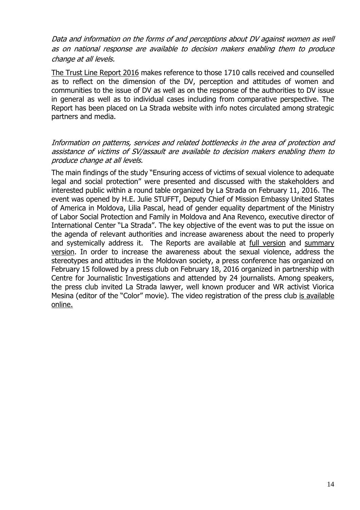Data and information on the forms of and perceptions about DV against women as well as on national response are available to decision makers enabling them to produce change at all levels.

[The Trust Line Report 2016](http://lastrada.md/files/resources/4/Raport_Anual_TI_2016.pdf) makes reference to those 1710 calls received and counselled as to reflect on the dimension of the DV, perception and attitudes of women and communities to the issue of DV as well as on the response of the authorities to DV issue in general as well as to individual cases including from comparative perspective. The Report has been placed on La Strada website with info notes circulated among strategic partners and media.

#### Information on patterns, services and related bottlenecks in the area of protection and assistance of victims of SV/assault are available to decision makers enabling them to produce change at all levels.

The main findings of the study "Ensuring access of victims of sexual violence to adequate legal and social protection" were presented and discussed with the stakeholders and interested public within a round table organized by La Strada on February 11, 2016. The event was opened by H.E. Julie STUFFT, Deputy Chief of Mission Embassy United States of America in Moldova, Lilia Pascal, head of gender equality department of the Ministry of Labor Social Protection and Family in Moldova and Ana Revenco, executive director of International Center "La Strada". The key objective of the event was to put the issue on the agenda of relevant authorities and increase awareness about the need to properly and systemically address it. The Reports are available at [full version](http://www.lastrada.md/publicatii/ebook/raport_VVS_EN.pdf) and [summary](http://www.lastrada.md/publicatii/ebook/raport_vvs_sumar_EN_A5.pdf)  [version.](http://www.lastrada.md/publicatii/ebook/raport_vvs_sumar_EN_A5.pdf) In order to increase the awareness about the sexual violence, address the stereotypes and attitudes in the Moldovan society, a press conference has organized on February 15 followed by a press club on February 18, 2016 organized in partnership with Centre for Journalistic Investigations and attended by 24 journalists. Among speakers, the press club invited La Strada lawyer, well known producer and WR activist Viorica Mesina (editor of the "Color" movie). The video registration of the press club [is available](https://youtu.be/BWu1g0fXHk4)  [online.](https://youtu.be/BWu1g0fXHk4)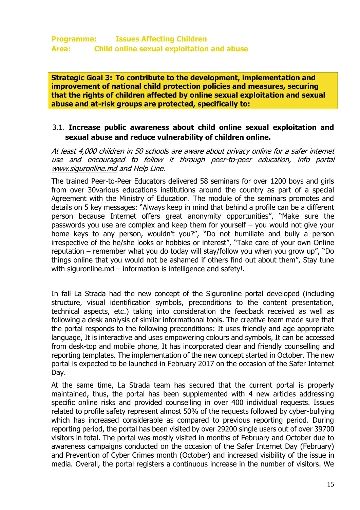**Strategic Goal 3: To contribute to the development, implementation and improvement of national child protection policies and measures, securing that the rights of children affected by online sexual exploitation and sexual abuse and at-risk groups are protected, specifically to:**

## 3.1. **Increase public awareness about child online sexual exploitation and sexual abuse and reduce vulnerability of children online.**

At least 4,000 children in 50 schools are aware about privacy online for a safer internet use and encouraged to follow it through peer-to-peer education, info portal [www.siguronline.md](http://www.siguronline.md/) and Help Line.

The trained Peer-to-Peer Educators delivered 58 seminars for over 1200 boys and girls from over 30various educations institutions around the country as part of a special Agreement with the Ministry of Education. The module of the seminars promotes and details on 5 key messages: "Always keep in mind that behind a profile can be a different person because Internet offers great anonymity opportunities", "Make sure the passwords you use are complex and keep them for yourself – you would not give your home keys to any person, wouldn't you?", "Do not humiliate and bully a person irrespective of the he/she looks or hobbies or interest", "Take care of your own Online reputation – remember what you do today will stay/follow you when you grow up", "Do things online that you would not be ashamed if others find out about them", Stay tune with siguronline.md – information is intelligence and safety!.

In fall La Strada had the new concept of the Siguronline portal developed (including structure, visual identification symbols, preconditions to the content presentation, technical aspects, etc.) taking into consideration the feedback received as well as following a desk analysis of similar informational tools. The creative team made sure that the portal responds to the following preconditions: It uses friendly and age appropriate language, It is interactive and uses empowering colours and symbols, It can be accessed from desk-top and mobile phone, It has incorporated clear and friendly counselling and reporting templates. The implementation of the new concept started in October. The new portal is expected to be launched in February 2017 on the occasion of the Safer Internet Day.

At the same time, La Strada team has secured that the current portal is properly maintained, thus, the portal has been supplemented with 4 new articles addressing specific online risks and provided counselling in over 400 individual requests. Issues related to profile safety represent almost 50% of the requests followed by cyber-bullying which has increased considerable as compared to previous reporting period. During reporting period, the portal has been visited by over 29200 single users out of over 39700 visitors in total. The portal was mostly visited in months of February and October due to awareness campaigns conducted on the occasion of the Safer Internet Day (February) and Prevention of Cyber Crimes month (October) and increased visibility of the issue in media. Overall, the portal registers a continuous increase in the number of visitors. We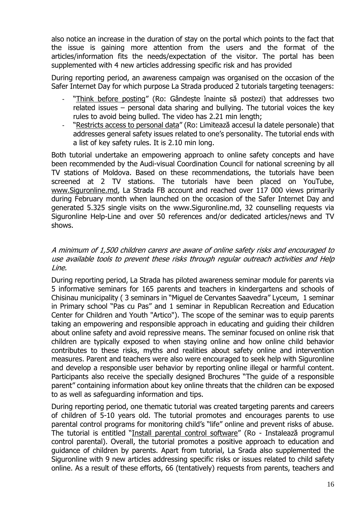also notice an increase in the duration of stay on the portal which points to the fact that the issue is gaining more attention from the users and the format of the articles/information fits the needs/expectation of the visitor. The portal has been supplemented with 4 new articles addressing specific risk and has provided

During reporting period, an awareness campaign was organised on the occasion of the Safer Internet Day for which purpose La Strada produced 2 tutorials targeting teenagers:

- "[Think before posting](https://youtu.be/JbgPBnQF3NQ)" (Ro: Gândeste înainte să postezi) that addresses two related issues – personal data sharing and bullying. The tutorial voices the key rules to avoid being bulled. The video has 2.21 min length;
- "[Restricts access to personal data](https://youtu.be/sJh4rSpOx34)" (Ro: Limitează accesul la datele personale) that addresses general safety issues related to one's personality. The tutorial ends with a list of key safety rules. It is 2.10 min long.

Both tutorial undertake an empowering approach to online safety concepts and have been recommended by the Audi-visual Coordination Council for national screening by all TV stations of Moldova. Based on these recommendations, the tutorials have been screened at 2 TV stations. The tutorials have been placed on YouTube, [www.Siguronline.md,](http://www.siguronline.md/) La Strada FB account and reached over 117 000 views primarily during February month when launched on the occasion of the Safer Internet Day and generated 5.325 single visits on the www.Siguronline.md, 32 counselling requests via Siguronline Help-Line and over 50 references and/or dedicated articles/news and TV shows.

#### A minimum of 1,500 children carers are aware of online safety risks and encouraged to use available tools to prevent these risks through regular outreach activities and Help Line.

During reporting period, La Strada has piloted awareness seminar module for parents via 5 informative seminars for 165 parents and teachers in kindergartens and schools of Chisinau municipality ( 3 seminars in "Miguel de Cervantes Saavedra" Lyceum, 1 seminar in Primary school "Pas cu Pas" and 1 seminar in Republican Recreation and Education Center for Children and Youth "Artico"). The scope of the seminar was to equip parents taking an empowering and responsible approach in educating and guiding their children about online safety and avoid repressive means. The seminar focused on online risk that children are typically exposed to when staying online and how online child behavior contributes to these risks, myths and realities about safety online and intervention measures. Parent and teachers were also were encouraged to seek help with Siguronline and develop a responsible user behavior by reporting online illegal or harmful content. Participants also receive the specially designed Brochures "The guide of a responsible parent" containing information about key online threats that the children can be exposed to as well as safeguarding information and tips.

During reporting period, one thematic tutorial was created targeting parents and careers of children of 5-10 years old. The tutorial promotes and encourages parents to use parental control programs for monitoring child's "life" online and prevent risks of abuse. The tutorial is entitled "[Install parental control software](https://www.youtube.com/watch?v=XPS1NVvXKtQ)" (Ro - Instalează programul control parental). Overall, the tutorial promotes a positive approach to education and guidance of children by parents. Apart from tutorial, La Srada also supplemented the Siguronline with 9 new articles addressing specific risks or issues related to child safety online. As a result of these efforts, 66 (tentatively) requests from parents, teachers and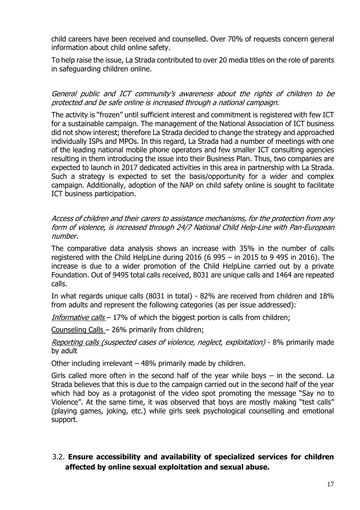child careers have been received and counselled. Over 70% of requests concern general information about child online safety.

To help raise the issue, La Strada contributed to over 20 media titles on the role of parents in safeguarding children online.

General public and ICT community's awareness about the rights of children to be protected and be safe online is increased through a national campaign.

The activity is "frozen" until sufficient interest and commitment is registered with few ICT for a sustainable campaign. The management of the National Association of ICT business did not show interest; therefore La Strada decided to change the strategy and approached individually ISPs and MPOs. In this regard, La Strada had a number of meetings with one of the leading national mobile phone operators and few smaller ICT consulting agencies resulting in them introducing the issue into their Business Plan. Thus, two companies are expected to launch in 2017 dedicated activities in this area in partnership with La Strada. Such a strategy is expected to set the basis/opportunity for a wider and complex campaign. Additionally, adoption of the NAP on child safety online is sought to facilitate ICT business participation.

Access of children and their carers to assistance mechanisms, for the protection from any form of violence, is increased through 24/7 National Child Help-Line with Pan-European number.

The comparative data analysis shows an increase with 35% in the number of calls registered with the Child HelpLine during 2016 (6 995 – in 2015 to 9 495 in 2016). The increase is due to a wider promotion of the Child HelpLine carried out by a private Foundation. Out of 9495 total calls received, 8031 are unique calls and 1464 are repeated calls.

In what regards unique calls (8031 in total) - 82% are received from children and 18% from adults and represent the following categories (as per issue addressed):

*Informative calls*  $-17\%$  of which the biggest portion is calls from children;

Counseling Calls – 26% primarily from children;

Reporting calls (suspected cases of violence, neglect, exploitation) - 8% primarily made by adult

Other including irrelevant – 48% primarily made by children.

Girls called more often in the second half of the year while boys – in the second. La Strada believes that this is due to the campaign carried out in the second half of the year which had boy as a protagonist of the video spot promoting the message "Say no to Violence". At the same time, it was observed that boys are mostly making "test calls" (playing games, joking, etc.) while girls seek psychological counselling and emotional support.

# 3.2. **Ensure accessibility and availability of specialized services for children affected by online sexual exploitation and sexual abuse.**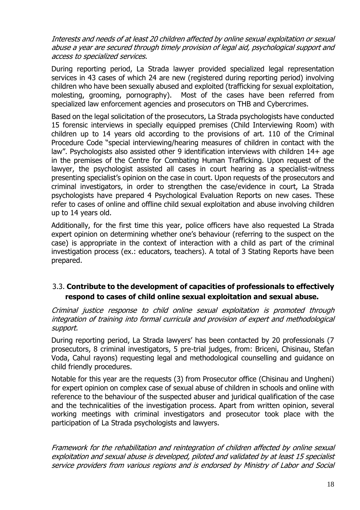Interests and needs of at least 20 children affected by online sexual exploitation or sexual abuse a year are secured through timely provision of legal aid, psychological support and access to specialized services.

During reporting period, La Strada lawyer provided specialized legal representation services in 43 cases of which 24 are new (registered during reporting period) involving children who have been sexually abused and exploited (trafficking for sexual exploitation, molesting, grooming, pornography). Most of the cases have been referred from specialized law enforcement agencies and prosecutors on THB and Cybercrimes.

Based on the legal solicitation of the prosecutors, La Strada psychologists have conducted 15 forensic interviews in specially equipped premises (Child Interviewing Room) with children up to 14 years old according to the provisions of art. 110 of the Criminal Procedure Code "special interviewing/hearing measures of children in contact with the law". Psychologists also assisted other 9 identification interviews with children 14+ age in the premises of the Centre for Combating Human Trafficking. Upon request of the lawyer, the psychologist assisted all cases in court hearing as a specialist-witness presenting specialist's opinion on the case in court. Upon requests of the prosecutors and criminal investigators, in order to strengthen the case/evidence in court, La Strada psychologists have prepared 4 Psychological Evaluation Reports on new cases. These refer to cases of online and offline child sexual exploitation and abuse involving children up to 14 years old.

Additionally, for the first time this year, police officers have also requested La Strada expert opinion on determining whether one's behaviour (referring to the suspect on the case) is appropriate in the context of interaction with a child as part of the criminal investigation process (ex.: educators, teachers). A total of 3 Stating Reports have been prepared.

## 3.3. **Contribute to the development of capacities of professionals to effectively respond to cases of child online sexual exploitation and sexual abuse.**

Criminal justice response to child online sexual exploitation is promoted through integration of training into formal curricula and provision of expert and methodological support.

During reporting period, La Strada lawyers' has been contacted by 20 professionals (7 prosecutors, 8 criminal investigators, 5 pre-trial judges, from: Briceni, Chisinau, Stefan Voda, Cahul rayons) requesting legal and methodological counselling and guidance on child friendly procedures.

Notable for this year are the requests (3) from Prosecutor office (Chisinau and Ungheni) for expert opinion on complex case of sexual abuse of children in schools and online with reference to the behaviour of the suspected abuser and juridical qualification of the case and the technicalities of the investigation process. Apart from written opinion, several working meetings with criminal investigators and prosecutor took place with the participation of La Strada psychologists and lawyers.

Framework for the rehabilitation and reintegration of children affected by online sexual exploitation and sexual abuse is developed, piloted and validated by at least 15 specialist service providers from various regions and is endorsed by Ministry of Labor and Social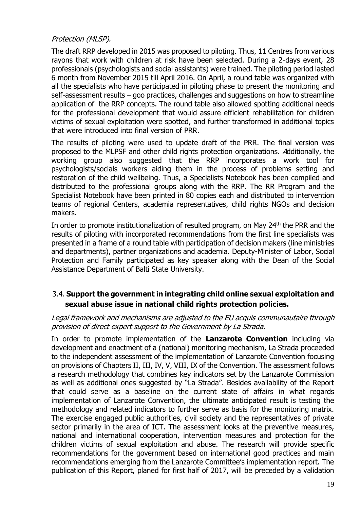## Protection (MLSP).

The draft RRP developed in 2015 was proposed to piloting. Thus, 11 Centres from various rayons that work with children at risk have been selected. During a 2-days event, 28 professionals (psychologists and social assistants) were trained. The piloting period lasted 6 month from November 2015 till April 2016. On April, a round table was organized with all the specialists who have participated in piloting phase to present the monitoring and self-assessment results – goo practices, challenges and suggestions on how to streamline application of the RRP concepts. The round table also allowed spotting additional needs for the professional development that would assure efficient rehabilitation for children victims of sexual exploitation were spotted, and further transformed in additional topics that were introduced into final version of PRR.

The results of piloting were used to update draft of the PRR. The final version was proposed to the MLPSF and other child rights protection organizations. Additionally, the working group also suggested that the RRP incorporates a work tool for psychologists/socials workers aiding them in the process of problems setting and restoration of the child wellbeing. Thus, a Specialists Notebook has been compiled and distributed to the professional groups along with the RRP. The RR Program and the Specialist Notebook have been printed in 80 copies each and distributed to intervention teams of regional Centers, academia representatives, child rights NGOs and decision makers.

In order to promote institutionalization of resulted program, on May 24<sup>th</sup> the PRR and the results of piloting with incorporated recommendations from the first line specialists was presented in a frame of a round table with participation of decision makers (line ministries and departments), partner organizations and academia. Deputy-Minister of Labor, Social Protection and Family participated as key speaker along with the Dean of the Social Assistance Department of Balti State University.

# 3.4. **Support the government in integrating child online sexual exploitation and sexual abuse issue in national child rights protection policies.**

#### Legal framework and mechanisms are adjusted to the EU acquis communautaire through provision of direct expert support to the Government by La Strada.

In order to promote implementation of the **Lanzarote Convention** including via development and enactment of a (national) monitoring mechanism, La Strada proceeded to the independent assessment of the implementation of Lanzarote Convention focusing on provisions of Chapters II, III, IV, V, VIII, IX of the Convention. The assessment follows a research methodology that combines key indicators set by the Lanzarote Commission as well as additional ones suggested by "La Strada". Besides availability of the Report that could serve as a baseline on the current state of affairs in what regards implementation of Lanzarote Convention, the ultimate anticipated result is testing the methodology and related indicators to further serve as basis for the monitoring matrix. The exercise engaged public authorities, civil society and the representatives of private sector primarily in the area of ICT. The assessment looks at the preventive measures, national and international cooperation, intervention measures and protection for the children victims of sexual exploitation and abuse. The research will provide specific recommendations for the government based on international good practices and main recommendations emerging from the Lanzarote Committee's implementation report. The publication of this Report, planed for first half of 2017, will be preceded by a validation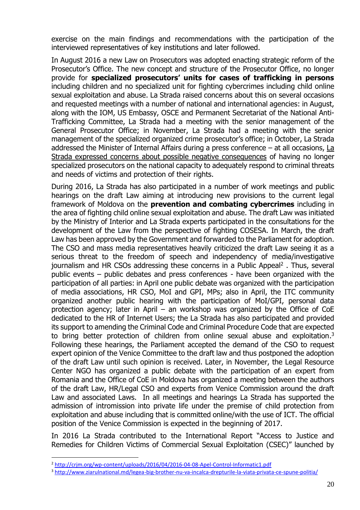exercise on the main findings and recommendations with the participation of the interviewed representatives of key institutions and later followed.

In August 2016 a new Law on Prosecutors was adopted enacting strategic reform of the Prosecutor's Office. The new concept and structure of the Prosecutor Office, no longer provide for **specialized prosecutors' units for cases of trafficking in persons** including children and no specialized unit for fighting cybercrimes including child online sexual exploitation and abuse. La Strada raised concerns about this on several occasions and requested meetings with a number of national and international agencies: in August, along with the IOM, US Embassy, OSCE and Permanent Secretariat of the National Anti-Trafficking Committee, La Strada had a meeting with the senior management of the General Prosecutor Office; in November, La Strada had a meeting with the senior management of the specialized organized crime prosecutor's office; in October, La Strada addressed the Minister of Internal Affairs during a press conference – at all occasions, [La](http://lastrada.md/rom/articole/autoritatile-dau-asigurari-vor-crea-o-echipa-de-procurori-specializati-in-cazuri-d-87)  Strada expressed concerns [about possible negative consequences](http://lastrada.md/rom/articole/autoritatile-dau-asigurari-vor-crea-o-echipa-de-procurori-specializati-in-cazuri-d-87) of having no longer specialized prosecutors on the national capacity to adequately respond to criminal threats and needs of victims and protection of their rights.

During 2016, La Strada has also participated in a number of work meetings and public hearings on the draft Law aiming at introducing new provisions to the current legal framework of Moldova on the **prevention and combating cybercrimes** including in the area of fighting child online sexual exploitation and abuse. The draft Law was initiated by the Ministry of Interior and La Strada experts participated in the consultations for the development of the Law from the perspective of fighting COSESA. In March, the draft Law has been approved by the Government and forwarded to the Parliament for adoption. The CSO and mass media representatives heavily criticized the draft Law seeing it as a serious threat to the freedom of speech and independency of media/investigative journalism and HR CSOs addressing these concerns in a Public Appeal<sup>2</sup>. Thus, several public events – public debates and press conferences - have been organized with the participation of all parties: in April one public debate was organized with the participation of media associations, HR CSO, MoI and GPI, MPs; also in April, the ITC community organized another public hearing with the participation of MoI/GPI, personal data protection agency; later in April – an workshop was organized by the Office of CoE dedicated to the HR of Internet Users; the La Strada has also participated and provided its support to amending the Criminal Code and Criminal Procedure Code that are expected to bring better protection of children from online sexual abuse and exploitation.<sup>3</sup> Following these hearings, the Parliament accepted the demand of the CSO to request expert opinion of the Venice Committee to the draft law and thus postponed the adoption of the draft Law until such opinion is received. Later, in November, the Legal Resource Center NGO has organized a public debate with the participation of an expert from Romania and the Office of CoE in Moldova has organized a meeting between the authors of the draft Law, HR/Legal CSO and experts from Venice Commission around the draft Law and associated Laws. In all meetings and hearings La Strada has supported the admission of intromission into private life under the premise of child protection from exploitation and abuse including that is committed online/with the use of ICT. The official position of the Venice Commission is expected in the beginning of 2017.

In 2016 La Strada contributed to the International Report "Access to Justice and Remedies for Children Victims of Commercial Sexual Exploitation (CSEC)" launched by

<u>.</u>

<sup>&</sup>lt;sup>2</sup> <http://crjm.org/wp-content/uploads/2016/04/2016-04-08-Apel-Control-Informatic1.pdf>

<sup>3</sup> <http://www.ziarulnational.md/legea-big-brother-nu-va-incalca-drepturile-la-viata-privata-ce-spune-politia/>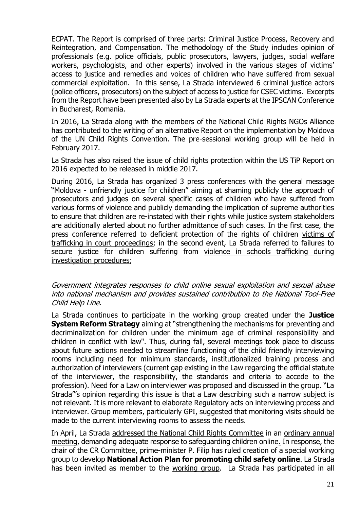ECPAT. The Report is comprised of three parts: Criminal Justice Process, Recovery and Reintegration, and Compensation. The methodology of the Study includes opinion of professionals (e.g. police officials, public prosecutors, lawyers, judges, social welfare workers, psychologists, and other experts) involved in the various stages of victims' access to justice and remedies and voices of children who have suffered from sexual commercial exploitation. In this sense, La Strada interviewed 6 criminal justice actors (police officers, prosecutors) on the subject of access to justice for CSEC victims. Excerpts from the Report have been presented also by La Strada experts at the IPSCAN Conference in Bucharest, Romania.

In 2016, La Strada along with the members of the National Child Rights NGOs Alliance has contributed to the writing of an alternative Report on the implementation by Moldova of the UN Child Rights Convention. The pre-sessional working group will be held in February 2017.

La Strada has also raised the issue of child rights protection within the US TiP Report on 2016 expected to be released in middle 2017.

During 2016, La Strada has organized 3 press conferences with the general message "Moldova - unfriendly justice for children" aiming at shaming publicly the approach of prosecutors and judges on several specific cases of children who have suffered from various forms of violence and publicly demanding the implication of supreme authorities to ensure that children are re-instated with their rights while justice system stakeholders are additionally alerted about no further admittance of such cases. In the first case, the press conference referred to deficient protection of the rights of children [victims of](http://sigurantacopii.lastrada.md/justitie-neprietenoasa-pentru-copii/)  [trafficking in court proceedings;](http://sigurantacopii.lastrada.md/justitie-neprietenoasa-pentru-copii/) in the second event, La Strada referred to failures to secure justice for children suffering from violence in schools trafficking during [investigation procedures;](http://sigurantacopii.lastrada.md/statul-esueaza-in-a-apara-copiii-victime-ale-violentei-si-exploatarii-sexuale/)

#### Government integrates responses to child online sexual exploitation and sexual abuse into national mechanism and provides sustained contribution to the National Tool-Free Child Help Line.

La Strada continues to participate in the working group created under the **Justice System Reform Strategy** aiming at "strengthening the mechanisms for preventing and decriminalization for children under the minimum age of criminal responsibility and children in conflict with law". Thus, during fall, several meetings took place to discuss about future actions needed to streamline functioning of the child friendly interviewing rooms including need for minimum standards, institutionalized training process and authorization of interviewers (current gap existing in the Law regarding the official statute of the interviewer, the responsibility, the standards and criteria to accede to the profession). Need for a Law on interviewer was proposed and discussed in the group. "La Strada"'s opinion regarding this issue is that a Law describing such a narrow subject is not relevant. It is more relevant to elaborate Regulatory acts on interviewing process and interviewer. Group members, particularly GPI, suggested that monitoring visits should be made to the current interviewing rooms to assess the needs.

In April, La Strada [addressed the National Child Rights Committee](http://cnpdc.gov.md/ro/content/sedinta-ordinara-nr-12016) in an [ordinary annual](http://cnpdc.gov.md/sites/default/files/document/attachments/ordinea-de-zi_cnpdc_1.2016_var_4_0.pdf)  [meeting,](http://cnpdc.gov.md/sites/default/files/document/attachments/ordinea-de-zi_cnpdc_1.2016_var_4_0.pdf) demanding adequate response to safeguarding children online. In response, the chair of the CR Committee, prime-minister P. Filip has ruled creation of a special working group to develop **National Action Plan for promoting child safety online**. La Strada has been invited as member to the [working group.](http://cnpdc.gov.md/sites/default/files/document/attachments/hotarire_var_5_semnata.pdf) La Strada has participated in all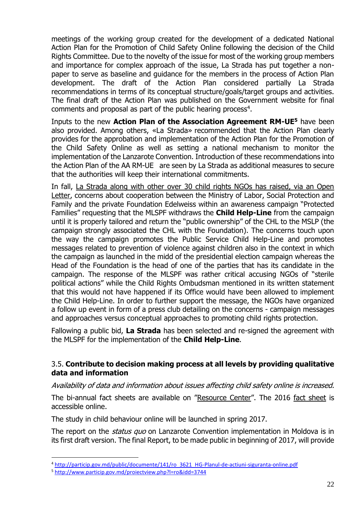meetings of the working group created for the development of a dedicated National Action Plan for the Promotion of Child Safety Online following the decision of the Child Rights Committee. Due to the novelty of the issue for most of the working group members and importance for complex approach of the issue, La Strada has put together a nonpaper to serve as baseline and guidance for the members in the process of Action Plan development. The draft of the Action Plan considered partially La Strada recommendations in terms of its conceptual structure/goals/target groups and activities. The final draft of the Action Plan was published on the Government website for final comments and proposal as part of the public hearing process<sup>4</sup>.

Inputs to the new **Action Plan of the Association Agreement RM-UE<sup>5</sup>** have been also provided. Among others, «La Strada» recommended that the Action Plan clearly provides for the approbation and implementation of the Action Plan for the Promotion of the Child Safety Online as well as setting a national mechanism to monitor the implementation of the Lanzarote Convention. Introduction of these recommendations into the Action Plan of the AA RM-UE are seen by La Strada as additional measures to secure that the authorities will keep their international commitments.

In fall, [La Strada along with other over 30 child rights NGOs has raised, via an Open](http://www.aliantacf.md/press-releases/reactia-societatii-civile-la-campania-familii-ocrotite)  [Letter,](http://www.aliantacf.md/press-releases/reactia-societatii-civile-la-campania-familii-ocrotite) concerns about cooperation between the Ministry of Labor, Social Protection and Family and the private Foundation Edelweiss within an awareness campaign "Protected Families" requesting that the MLSPF withdraws the **Child Help-Line** from the campaign until it is properly tailored and return the "public ownership" of the CHL to the MSLP (the campaign strongly associated the CHL with the Foundation). The concerns touch upon the way the campaign promotes the Public Service Child Help-Line and promotes messages related to prevention of violence against children also in the context in which the campaign as launched in the midd of the presidential election campaign whereas the Head of the Foundation is the head of one of the parties that has its candidate in the campaign. The response of the MLSPF was rather critical accusing NGOs of "sterile political actions" while the Child Rights Ombudsman mentioned in its written statement that this would not have happened if its Office would have been allowed to implement the Child Help-Line. In order to further support the message, the NGOs have organized a follow up event in form of a press club detailing on the concerns - campaign messages and approaches versus conceptual approaches to promoting child rights protection.

Fallowing a public bid, **La Strada** has been selected and re-signed the agreement with the MLSPF for the implementation of the **Child Help-Line**.

## 3.5. **Contribute to decision making process at all levels by providing qualitative data and information**

Availability of data and information about issues affecting child safety online is increased.

The bi-annual fact sheets are available on "[Resource Center](http://lastrada.md/rom/centru-de-resurse)". The 2016 [fact sheet](http://lastrada.md/files/resources/4/FACT_SHEET_SIGURONLINE_2016.pdf.) is accessible online.

The study in child behaviour online will be launched in spring 2017.

The report on the *status quo* on Lanzarote Convention implementation in Moldova is in its first draft version. The final Report, to be made public in beginning of 2017, will provide

<u>.</u>

<sup>4</sup> [http://particip.gov.md/public/documente/141/ro\\_3621\\_HG-Planul-de-actiuni-siguranta-online.pdf](http://particip.gov.md/public/documente/141/ro_3621_HG-Planul-de-actiuni-siguranta-online.pdf)

<sup>5</sup> <http://www.particip.gov.md/proiectview.php?l=ro&idd=3744>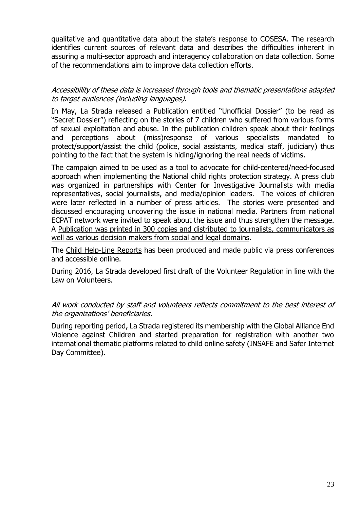qualitative and quantitative data about the state's response to COSESA. The research identifies current sources of relevant data and describes the difficulties inherent in assuring a multi-sector approach and interagency collaboration on data collection. Some of the recommendations aim to improve data collection efforts.

#### Accessibility of these data is increased through tools and thematic presentations adapted to target audiences (including languages).

In May, La Strada released a Publication entitled "Unofficial Dossier" (to be read as "Secret Dossier") reflecting on the stories of 7 children who suffered from various forms of sexual exploitation and abuse. In the publication children speak about their feelings and perceptions about (miss)response of various specialists mandated to protect/support/assist the child (police, social assistants, medical staff, judiciary) thus pointing to the fact that the system is hiding/ignoring the real needs of victims.

The campaign aimed to be used as a tool to advocate for child-centered/need-focused approach when implementing the National child rights protection strategy. A press club was organized in partnerships with Center for Investigative Journalists with media representatives, social journalists, and media/opinion leaders. The voices of children were later reflected in a number of press articles. The stories were presented and discussed encouraging uncovering the issue in national media. Partners from national ECPAT network were invited to speak about the issue and thus strengthen the message. A Publication was printed in 300 copies and distributed to journalists, [communicators](http://sigurantacopii.lastrada.md/publicatii/) as well as various decision makers from social and legal [domains.](http://sigurantacopii.lastrada.md/publicatii/)

The [Child Help-Line Reports](http://lastrada.md/files/resources/4/RO_RAPORT_ACTIVITATE_TC_2014_mai_2016.pdf) has been produced and made public via press conferences and accessible online.

During 2016, La Strada developed first draft of the Volunteer Regulation in line with the Law on Volunteers.

All work conducted by staff and volunteers reflects commitment to the best interest of the organizations' beneficiaries.

During reporting period, La Strada registered its membership with the Global Alliance End Violence against Children and started preparation for registration with another two international thematic platforms related to child online safety (INSAFE and Safer Internet Day Committee).